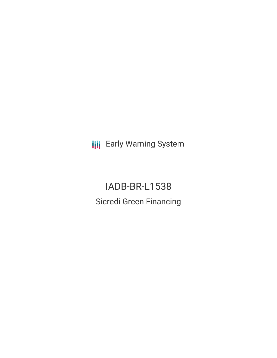**III** Early Warning System

IADB-BR-L1538 Sicredi Green Financing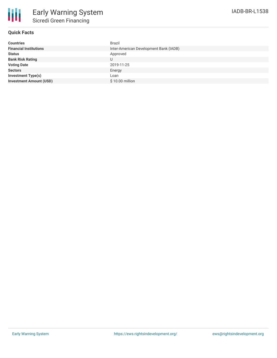## **Quick Facts**

| <b>Countries</b>               | <b>Brazil</b>                          |
|--------------------------------|----------------------------------------|
| <b>Financial Institutions</b>  | Inter-American Development Bank (IADB) |
| <b>Status</b>                  | Approved                               |
| <b>Bank Risk Rating</b>        | U                                      |
| <b>Voting Date</b>             | 2019-11-25                             |
| <b>Sectors</b>                 | Energy                                 |
| Investment Type(s)             | Loan                                   |
| <b>Investment Amount (USD)</b> | \$10.00 million                        |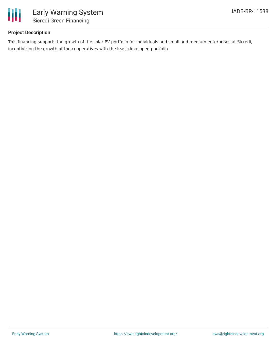

# **Project Description**

This financing supports the growth of the solar PV portfolio for individuals and small and medium enterprises at Sicredi, incentivizing the growth of the cooperatives with the least developed portfolio.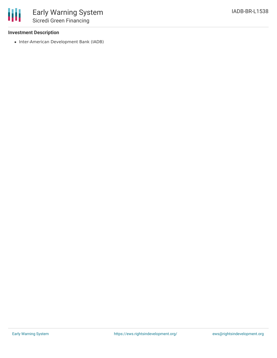# **Investment Description**

冊

• Inter-American Development Bank (IADB)